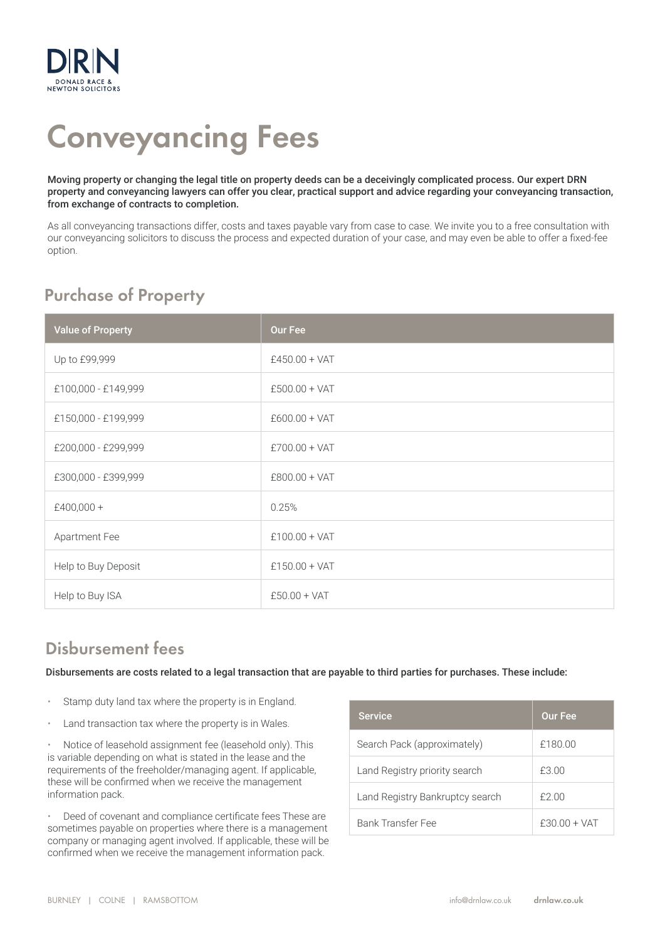

# Conveyancing Fees

Moving property or changing the legal title on property deeds can be a deceivingly complicated process. Our expert DRN property and conveyancing lawyers can offer you clear, practical support and advice regarding your conveyancing transaction, from exchange of contracts to completion.

As all conveyancing transactions differ, costs and taxes payable vary from case to case. We invite you to a free consultation with our conveyancing solicitors to discuss the process and expected duration of your case, and may even be able to offer a fixed-fee option.

## Purchase of Property

| <b>Value of Property</b> | <b>Our Fee</b>  |
|--------------------------|-----------------|
| Up to £99,999            | $£450.00 + VAT$ |
| £100,000 - £149,999      | $£500.00 + VAT$ |
| £150,000 - £199,999      | $£600.00 + VAT$ |
| £200,000 - £299,999      | $£700.00 + VAT$ |
| £300,000 - £399,999      | $£800.00 + VAT$ |
| $£400,000 +$             | 0.25%           |
| Apartment Fee            | $£100.00 + VAT$ |
| Help to Buy Deposit      | $£150.00 + VAT$ |
| Help to Buy ISA          | $£50.00 + VAT$  |

### Disbursement fees

Disbursements are costs related to a legal transaction that are payable to third parties for purchases. These include:

- Stamp duty land tax where the property is in England.
- Land transaction tax where the property is in Wales.

• Notice of leasehold assignment fee (leasehold only). This is variable depending on what is stated in the lease and the requirements of the freeholder/managing agent. If applicable, these will be confirmed when we receive the management information pack.

• Deed of covenant and compliance certificate fees These are sometimes payable on properties where there is a management company or managing agent involved. If applicable, these will be confirmed when we receive the management information pack.

| <b>Service</b>                  | <b>Our Fee</b> |
|---------------------------------|----------------|
| Search Pack (approximately)     | £180.00        |
| Land Registry priority search   | £3.00          |
| Land Registry Bankruptcy search | £2.00          |
| Bank Transfer Fee               | $f3000 + VAT$  |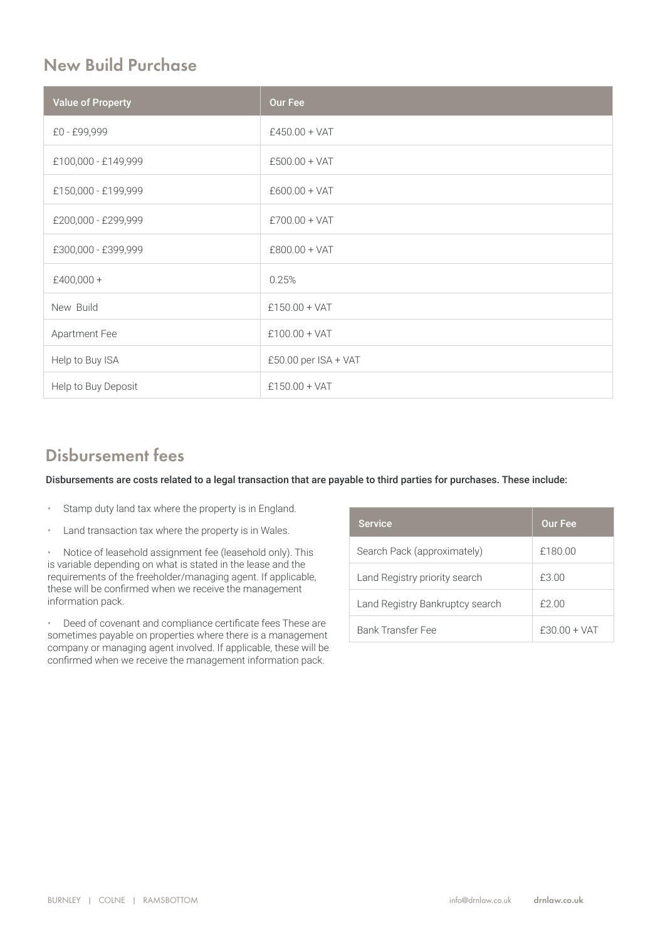#### New Build Purchase

| <b>Value of Property</b> | <b>Our Fee</b>           |
|--------------------------|--------------------------|
| £0 - £99,999             | $£450.00 + VAT$          |
| £100,000 - £149,999      | $£500.00 + VAT$          |
| £150,000 - £199,999      | $£600.00 + VAT$          |
| £200,000 - £299,999      | $£700.00 + VAT$          |
| £300,000 - £399,999      | $£800.00 + VAT$          |
| $£400,000 +$             | 0.25%                    |
| New Build                | $£150.00 + VAT$          |
| Apartment Fee            | $£100.00 + VAT$          |
| Help to Buy ISA          | $£50.00$ per $ISA + VAT$ |
| Help to Buy Deposit      | $£150.00 + VAT$          |

#### Disbursement fees

Disbursements are costs related to a legal transaction that are payable to third parties for purchases. These include:

- Stamp duty land tax where the property is in England.
- Land transaction tax where the property is in Wales.

• Notice of leasehold assignment fee (leasehold only). This is variable depending on what is stated in the lease and the requirements of the freeholder/managing agent. If applicable, these will be confirmed when we receive the management information pack.

• Deed of covenant and compliance certificate fees These are sometimes payable on properties where there is a management company or managing agent involved. If applicable, these will be confirmed when we receive the management information pack.

| <b>Service</b>                  | <b>Our Fee</b> |
|---------------------------------|----------------|
| Search Pack (approximately)     | £180.00        |
| Land Registry priority search   | £3.00          |
| Land Registry Bankruptcy search | £2.00          |
| Bank Transfer Fee               | $f3000 + VAT$  |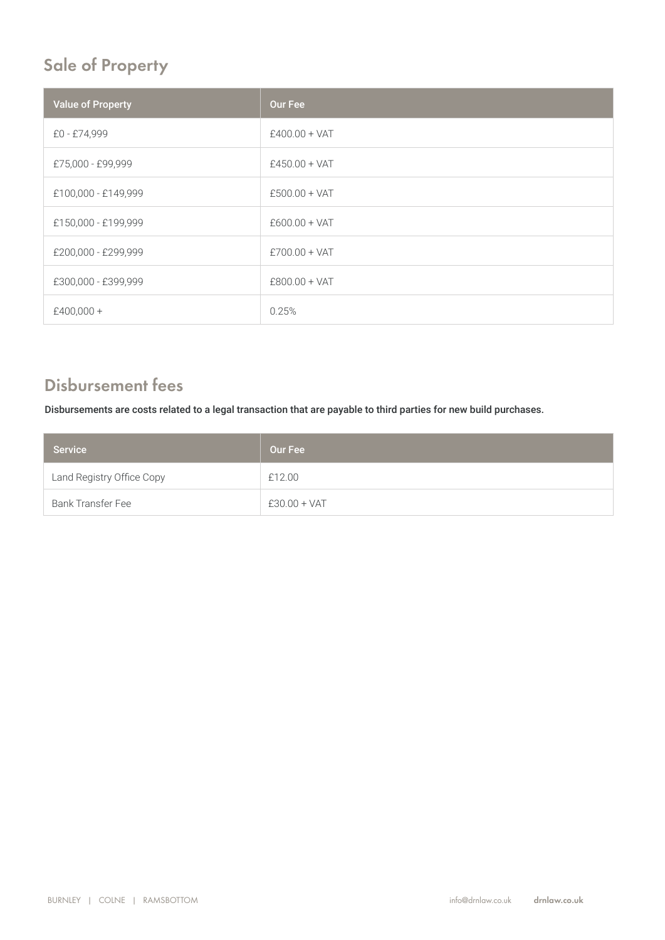# Sale of Property

| <b>Value of Property</b> | Our Fee         |
|--------------------------|-----------------|
| £0 - £74,999             | $£400.00 + VAT$ |
| £75,000 - £99,999        | $£450.00 + VAT$ |
| £100,000 - £149,999      | $£500.00 + VAT$ |
| £150,000 - £199,999      | $£600.00 + VAT$ |
| £200,000 - £299,999      | $£700.00 + VAT$ |
| £300,000 - £399,999      | $£800.00 + VAT$ |
| £400,000 +               | 0.25%           |

#### Disbursement fees

Disbursements are costs related to a legal transaction that are payable to third parties for new build purchases.

| <b>Service</b>            | Our Fee        |
|---------------------------|----------------|
| Land Registry Office Copy | £12.00         |
| <b>Bank Transfer Fee</b>  | $£30.00 + VAT$ |